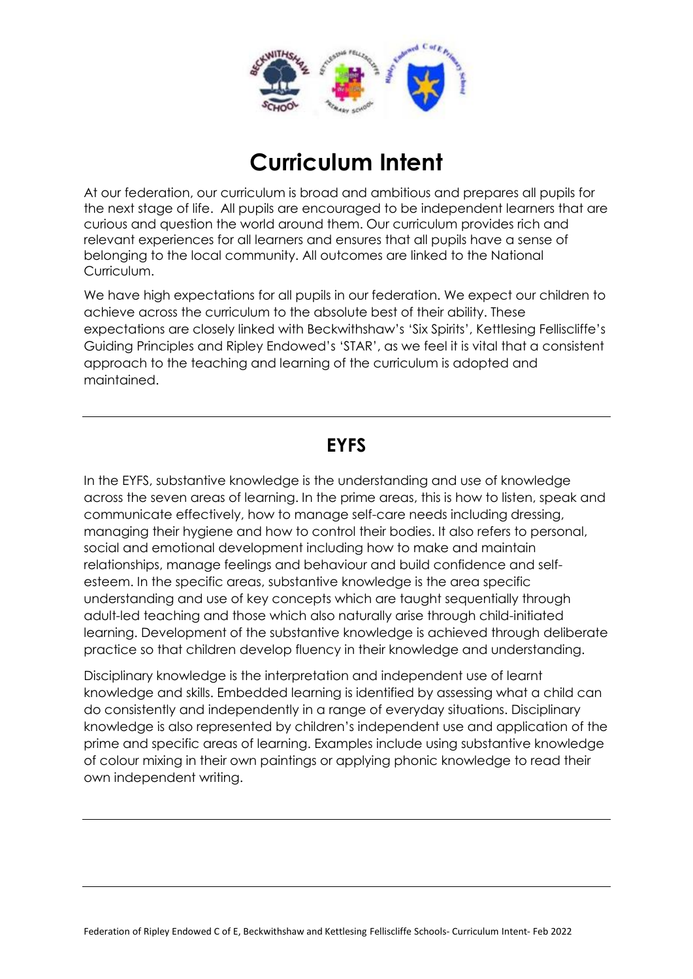

# **Curriculum Intent**

At our federation, our curriculum is broad and ambitious and prepares all pupils for the next stage of life. All pupils are encouraged to be independent learners that are curious and question the world around them. Our curriculum provides rich and relevant experiences for all learners and ensures that all pupils have a sense of belonging to the local community. All outcomes are linked to the National Curriculum.

We have high expectations for all pupils in our federation. We expect our children to achieve across the curriculum to the absolute best of their ability. These expectations are closely linked with Beckwithshaw's 'Six Spirits', Kettlesing Felliscliffe's Guiding Principles and Ripley Endowed's 'STAR', as we feel it is vital that a consistent approach to the teaching and learning of the curriculum is adopted and maintained.

## **EYFS**

In the EYFS, substantive knowledge is the understanding and use of knowledge across the seven areas of learning. In the prime areas, this is how to listen, speak and communicate effectively, how to manage self-care needs including dressing, managing their hygiene and how to control their bodies. It also refers to personal, social and emotional development including how to make and maintain relationships, manage feelings and behaviour and build confidence and selfesteem. In the specific areas, substantive knowledge is the area specific understanding and use of key concepts which are taught sequentially through adult-led teaching and those which also naturally arise through child-initiated learning. Development of the substantive knowledge is achieved through deliberate practice so that children develop fluency in their knowledge and understanding.

Disciplinary knowledge is the interpretation and independent use of learnt knowledge and skills. Embedded learning is identified by assessing what a child can do consistently and independently in a range of everyday situations. Disciplinary knowledge is also represented by children's independent use and application of the prime and specific areas of learning. Examples include using substantive knowledge of colour mixing in their own paintings or applying phonic knowledge to read their own independent writing.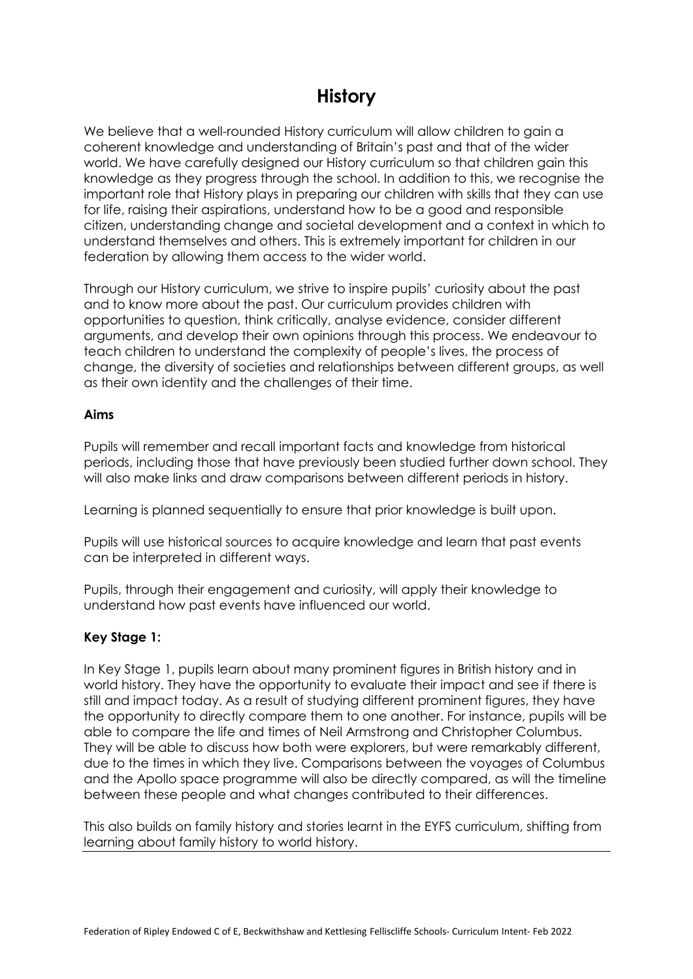## **History**

We believe that a well-rounded History curriculum will allow children to gain a coherent knowledge and understanding of Britain's past and that of the wider world. We have carefully designed our History curriculum so that children gain this knowledge as they progress through the school. In addition to this, we recognise the important role that History plays in preparing our children with skills that they can use for life, raising their aspirations, understand how to be a good and responsible citizen, understanding change and societal development and a context in which to understand themselves and others. This is extremely important for children in our federation by allowing them access to the wider world.

Through our History curriculum, we strive to inspire pupils' curiosity about the past and to know more about the past. Our curriculum provides children with opportunities to question, think critically, analyse evidence, consider different arguments, and develop their own opinions through this process. We endeavour to teach children to understand the complexity of people's lives, the process of change, the diversity of societies and relationships between different groups, as well as their own identity and the challenges of their time.

### **Aims**

Pupils will remember and recall important facts and knowledge from historical periods, including those that have previously been studied further down school. They will also make links and draw comparisons between different periods in history.

Learning is planned sequentially to ensure that prior knowledge is built upon.

Pupils will use historical sources to acquire knowledge and learn that past events can be interpreted in different ways.

Pupils, through their engagement and curiosity, will apply their knowledge to understand how past events have influenced our world.

### **Key Stage 1:**

In Key Stage 1, pupils learn about many prominent figures in British history and in world history. They have the opportunity to evaluate their impact and see if there is still and impact today. As a result of studying different prominent figures, they have the opportunity to directly compare them to one another. For instance, pupils will be able to compare the life and times of Neil Armstrong and Christopher Columbus. They will be able to discuss how both were explorers, but were remarkably different, due to the times in which they live. Comparisons between the voyages of Columbus and the Apollo space programme will also be directly compared, as will the timeline between these people and what changes contributed to their differences.

This also builds on family history and stories learnt in the EYFS curriculum, shifting from learning about family history to world history.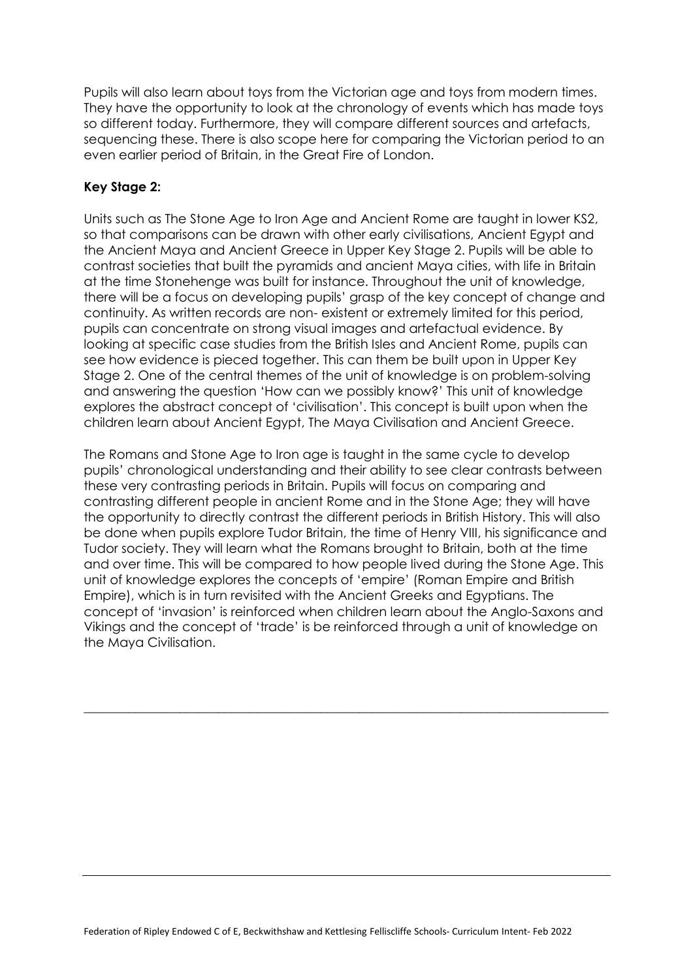Pupils will also learn about toys from the Victorian age and toys from modern times. They have the opportunity to look at the chronology of events which has made toys so different today. Furthermore, they will compare different sources and artefacts, sequencing these. There is also scope here for comparing the Victorian period to an even earlier period of Britain, in the Great Fire of London.

### **Key Stage 2:**

Units such as The Stone Age to Iron Age and Ancient Rome are taught in lower KS2, so that comparisons can be drawn with other early civilisations, Ancient Egypt and the Ancient Maya and Ancient Greece in Upper Key Stage 2. Pupils will be able to contrast societies that built the pyramids and ancient Maya cities, with life in Britain at the time Stonehenge was built for instance. Throughout the unit of knowledge, there will be a focus on developing pupils' grasp of the key concept of change and continuity. As written records are non- existent or extremely limited for this period, pupils can concentrate on strong visual images and artefactual evidence. By looking at specific case studies from the British Isles and Ancient Rome, pupils can see how evidence is pieced together. This can them be built upon in Upper Key Stage 2. One of the central themes of the unit of knowledge is on problem-solving and answering the question 'How can we possibly know?' This unit of knowledge explores the abstract concept of 'civilisation'. This concept is built upon when the children learn about Ancient Egypt, The Maya Civilisation and Ancient Greece.

The Romans and Stone Age to Iron age is taught in the same cycle to develop pupils' chronological understanding and their ability to see clear contrasts between these very contrasting periods in Britain. Pupils will focus on comparing and contrasting different people in ancient Rome and in the Stone Age; they will have the opportunity to directly contrast the different periods in British History. This will also be done when pupils explore Tudor Britain, the time of Henry VIII, his significance and Tudor society. They will learn what the Romans brought to Britain, both at the time and over time. This will be compared to how people lived during the Stone Age. This unit of knowledge explores the concepts of 'empire' (Roman Empire and British Empire), which is in turn revisited with the Ancient Greeks and Egyptians. The concept of 'invasion' is reinforced when children learn about the Anglo-Saxons and Vikings and the concept of 'trade' is be reinforced through a unit of knowledge on the Maya Civilisation.

\_\_\_\_\_\_\_\_\_\_\_\_\_\_\_\_\_\_\_\_\_\_\_\_\_\_\_\_\_\_\_\_\_\_\_\_\_\_\_\_\_\_\_\_\_\_\_\_\_\_\_\_\_\_\_\_\_\_\_\_\_\_\_\_\_\_\_\_\_\_\_\_\_\_\_\_\_\_\_\_\_\_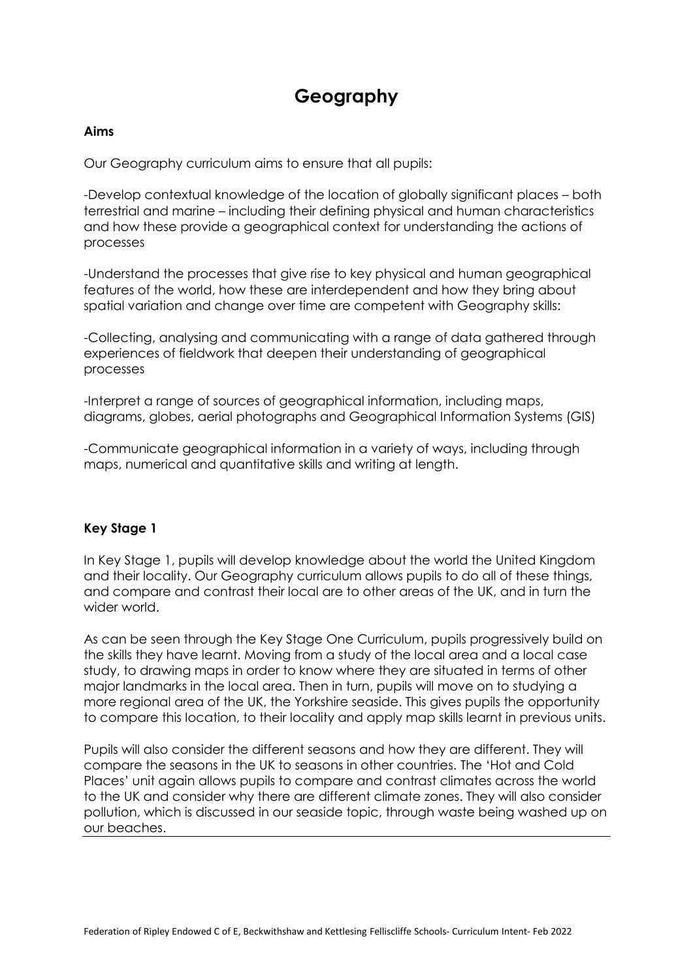## **Geography**

### **Aims**

Our Geography curriculum aims to ensure that all pupils:

-Develop contextual knowledge of the location of globally significant places – both terrestrial and marine – including their defining physical and human characteristics and how these provide a geographical context for understanding the actions of processes

-Understand the processes that give rise to key physical and human geographical features of the world, how these are interdependent and how they bring about spatial variation and change over time are competent with Geography skills:

-Collecting, analysing and communicating with a range of data gathered through experiences of fieldwork that deepen their understanding of geographical processes

-Interpret a range of sources of geographical information, including maps, diagrams, globes, aerial photographs and Geographical Information Systems (GIS)

-Communicate geographical information in a variety of ways, including through maps, numerical and quantitative skills and writing at length.

### **Key Stage 1**

In Key Stage 1, pupils will develop knowledge about the world the United Kingdom and their locality. Our Geography curriculum allows pupils to do all of these things, and compare and contrast their local are to other areas of the UK, and in turn the wider world.

As can be seen through the Key Stage One Curriculum, pupils progressively build on the skills they have learnt. Moving from a study of the local area and a local case study, to drawing maps in order to know where they are situated in terms of other major landmarks in the local area. Then in turn, pupils will move on to studying a more regional area of the UK, the Yorkshire seaside. This gives pupils the opportunity to compare this location, to their locality and apply map skills learnt in previous units.

Pupils will also consider the different seasons and how they are different. They will compare the seasons in the UK to seasons in other countries. The 'Hot and Cold Places' unit again allows pupils to compare and contrast climates across the world to the UK and consider why there are different climate zones. They will also consider pollution, which is discussed in our seaside topic, through waste being washed up on our beaches.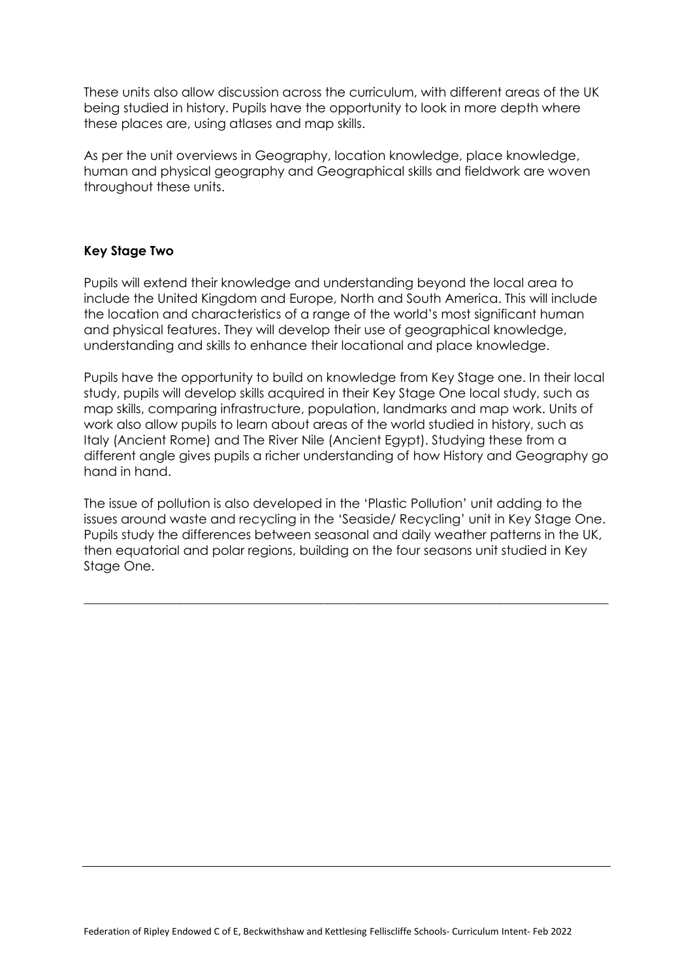These units also allow discussion across the curriculum, with different areas of the UK being studied in history. Pupils have the opportunity to look in more depth where these places are, using atlases and map skills.

As per the unit overviews in Geography, location knowledge, place knowledge, human and physical geography and Geographical skills and fieldwork are woven throughout these units.

### **Key Stage Two**

Pupils will extend their knowledge and understanding beyond the local area to include the United Kingdom and Europe, North and South America. This will include the location and characteristics of a range of the world's most significant human and physical features. They will develop their use of geographical knowledge, understanding and skills to enhance their locational and place knowledge.

Pupils have the opportunity to build on knowledge from Key Stage one. In their local study, pupils will develop skills acquired in their Key Stage One local study, such as map skills, comparing infrastructure, population, landmarks and map work. Units of work also allow pupils to learn about areas of the world studied in history, such as Italy (Ancient Rome) and The River Nile (Ancient Egypt). Studying these from a different angle gives pupils a richer understanding of how History and Geography go hand in hand.

The issue of pollution is also developed in the 'Plastic Pollution' unit adding to the issues around waste and recycling in the 'Seaside/ Recycling' unit in Key Stage One. Pupils study the differences between seasonal and daily weather patterns in the UK, then equatorial and polar regions, building on the four seasons unit studied in Key Stage One.

\_\_\_\_\_\_\_\_\_\_\_\_\_\_\_\_\_\_\_\_\_\_\_\_\_\_\_\_\_\_\_\_\_\_\_\_\_\_\_\_\_\_\_\_\_\_\_\_\_\_\_\_\_\_\_\_\_\_\_\_\_\_\_\_\_\_\_\_\_\_\_\_\_\_\_\_\_\_\_\_\_\_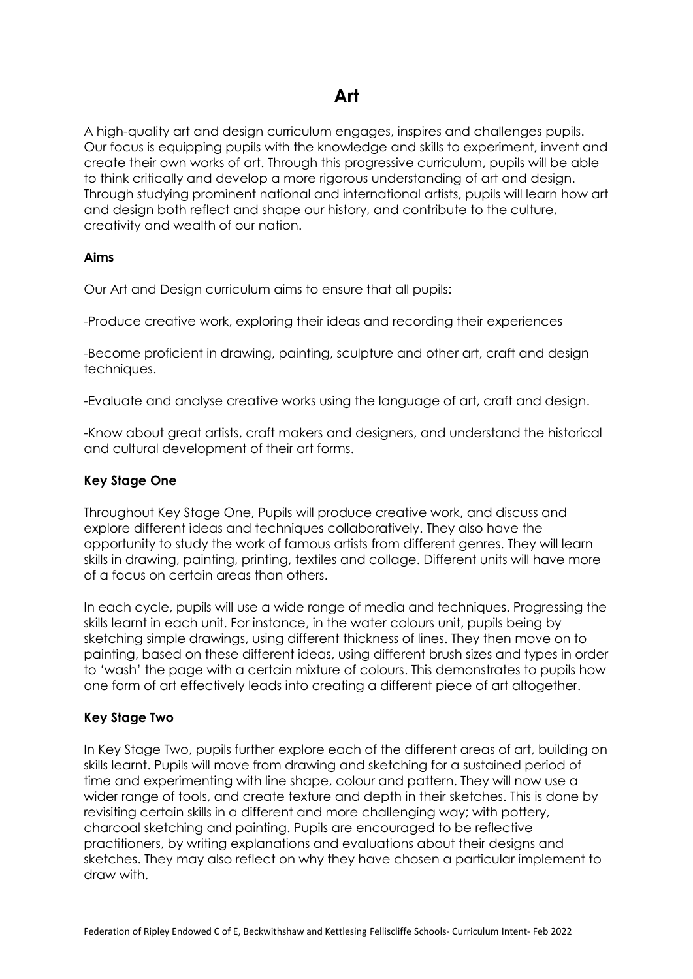A high-quality art and design curriculum engages, inspires and challenges pupils. Our focus is equipping pupils with the knowledge and skills to experiment, invent and create their own works of art. Through this progressive curriculum, pupils will be able to think critically and develop a more rigorous understanding of art and design. Through studying prominent national and international artists, pupils will learn how art and design both reflect and shape our history, and contribute to the culture, creativity and wealth of our nation.

### **Aims**

Our Art and Design curriculum aims to ensure that all pupils:

-Produce creative work, exploring their ideas and recording their experiences

-Become proficient in drawing, painting, sculpture and other art, craft and design techniques.

-Evaluate and analyse creative works using the language of art, craft and design.

-Know about great artists, craft makers and designers, and understand the historical and cultural development of their art forms.

#### **Key Stage One**

Throughout Key Stage One, Pupils will produce creative work, and discuss and explore different ideas and techniques collaboratively. They also have the opportunity to study the work of famous artists from different genres. They will learn skills in drawing, painting, printing, textiles and collage. Different units will have more of a focus on certain areas than others.

In each cycle, pupils will use a wide range of media and techniques. Progressing the skills learnt in each unit. For instance, in the water colours unit, pupils being by sketching simple drawings, using different thickness of lines. They then move on to painting, based on these different ideas, using different brush sizes and types in order to 'wash' the page with a certain mixture of colours. This demonstrates to pupils how one form of art effectively leads into creating a different piece of art altogether.

### **Key Stage Two**

In Key Stage Two, pupils further explore each of the different areas of art, building on skills learnt. Pupils will move from drawing and sketching for a sustained period of time and experimenting with line shape, colour and pattern. They will now use a wider range of tools, and create texture and depth in their sketches. This is done by revisiting certain skills in a different and more challenging way; with pottery, charcoal sketching and painting. Pupils are encouraged to be reflective practitioners, by writing explanations and evaluations about their designs and sketches. They may also reflect on why they have chosen a particular implement to draw with.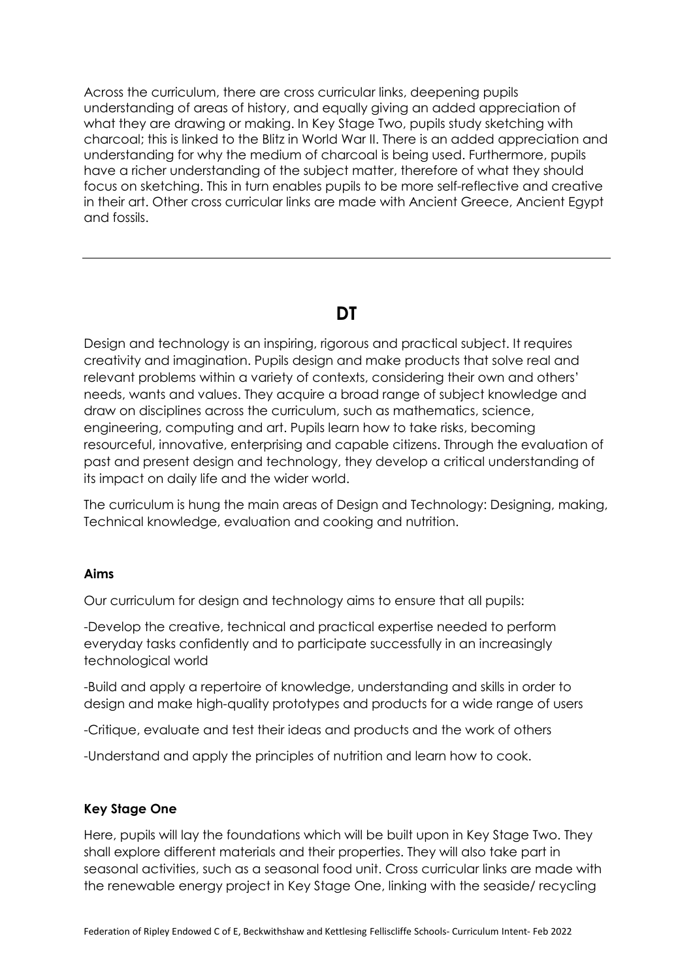Across the curriculum, there are cross curricular links, deepening pupils understanding of areas of history, and equally giving an added appreciation of what they are drawing or making. In Key Stage Two, pupils study sketching with charcoal; this is linked to the Blitz in World War II. There is an added appreciation and understanding for why the medium of charcoal is being used. Furthermore, pupils have a richer understanding of the subject matter, therefore of what they should focus on sketching. This in turn enables pupils to be more self-reflective and creative in their art. Other cross curricular links are made with Ancient Greece, Ancient Egypt and fossils.

### **DT**

Design and technology is an inspiring, rigorous and practical subject. It requires creativity and imagination. Pupils design and make products that solve real and relevant problems within a variety of contexts, considering their own and others' needs, wants and values. They acquire a broad range of subject knowledge and draw on disciplines across the curriculum, such as mathematics, science, engineering, computing and art. Pupils learn how to take risks, becoming resourceful, innovative, enterprising and capable citizens. Through the evaluation of past and present design and technology, they develop a critical understanding of its impact on daily life and the wider world.

The curriculum is hung the main areas of Design and Technology: Designing, making, Technical knowledge, evaluation and cooking and nutrition.

### **Aims**

Our curriculum for design and technology aims to ensure that all pupils:

-Develop the creative, technical and practical expertise needed to perform everyday tasks confidently and to participate successfully in an increasingly technological world

-Build and apply a repertoire of knowledge, understanding and skills in order to design and make high-quality prototypes and products for a wide range of users

-Critique, evaluate and test their ideas and products and the work of others

-Understand and apply the principles of nutrition and learn how to cook.

### **Key Stage One**

Here, pupils will lay the foundations which will be built upon in Key Stage Two. They shall explore different materials and their properties. They will also take part in seasonal activities, such as a seasonal food unit. Cross curricular links are made with the renewable energy project in Key Stage One, linking with the seaside/ recycling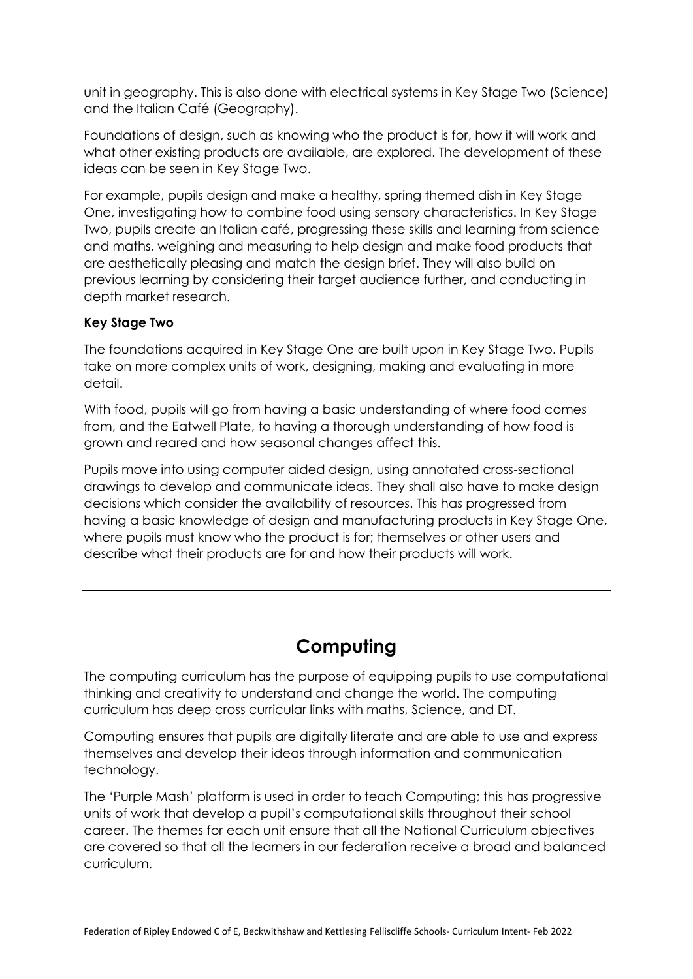unit in geography. This is also done with electrical systems in Key Stage Two (Science) and the Italian Café (Geography).

Foundations of design, such as knowing who the product is for, how it will work and what other existing products are available, are explored. The development of these ideas can be seen in Key Stage Two.

For example, pupils design and make a healthy, spring themed dish in Key Stage One, investigating how to combine food using sensory characteristics. In Key Stage Two, pupils create an Italian café, progressing these skills and learning from science and maths, weighing and measuring to help design and make food products that are aesthetically pleasing and match the design brief. They will also build on previous learning by considering their target audience further, and conducting in depth market research.

### **Key Stage Two**

The foundations acquired in Key Stage One are built upon in Key Stage Two. Pupils take on more complex units of work, designing, making and evaluating in more detail.

With food, pupils will go from having a basic understanding of where food comes from, and the Eatwell Plate, to having a thorough understanding of how food is grown and reared and how seasonal changes affect this.

Pupils move into using computer aided design, using annotated cross-sectional drawings to develop and communicate ideas. They shall also have to make design decisions which consider the availability of resources. This has progressed from having a basic knowledge of design and manufacturing products in Key Stage One, where pupils must know who the product is for; themselves or other users and describe what their products are for and how their products will work.

## **Computing**

The computing curriculum has the purpose of equipping pupils to use computational thinking and creativity to understand and change the world. The computing curriculum has deep cross curricular links with maths, Science, and DT.

Computing ensures that pupils are digitally literate and are able to use and express themselves and develop their ideas through information and communication technology.

The 'Purple Mash' platform is used in order to teach Computing; this has progressive units of work that develop a pupil's computational skills throughout their school career. The themes for each unit ensure that all the National Curriculum objectives are covered so that all the learners in our federation receive a broad and balanced curriculum.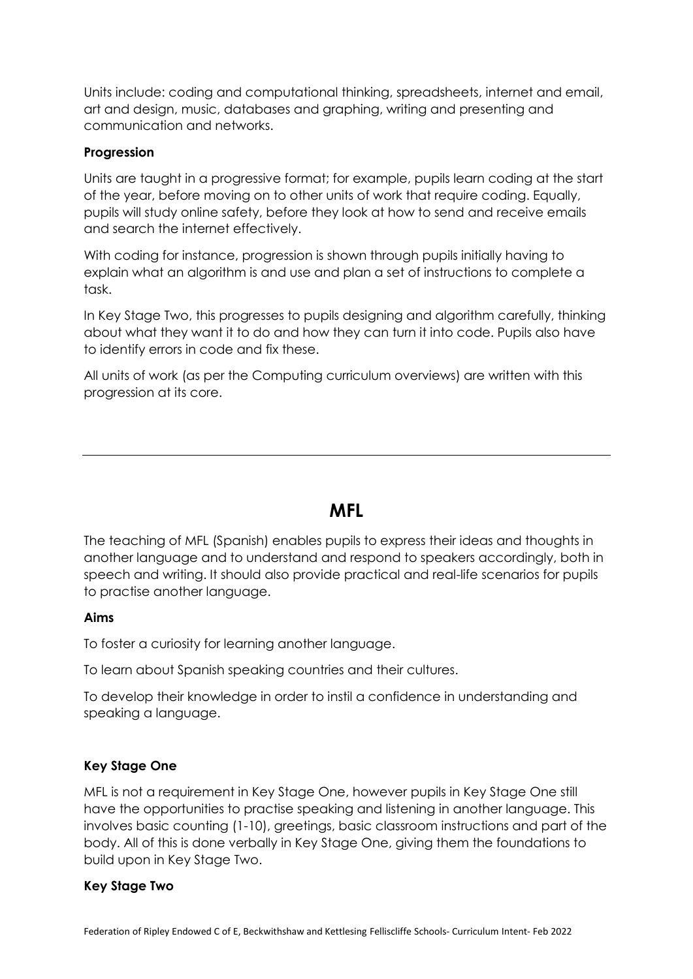Units include: coding and computational thinking, spreadsheets, internet and email, art and design, music, databases and graphing, writing and presenting and communication and networks.

### **Progression**

Units are taught in a progressive format; for example, pupils learn coding at the start of the year, before moving on to other units of work that require coding. Equally, pupils will study online safety, before they look at how to send and receive emails and search the internet effectively.

With coding for instance, progression is shown through pupils initially having to explain what an algorithm is and use and plan a set of instructions to complete a task.

In Key Stage Two, this progresses to pupils designing and algorithm carefully, thinking about what they want it to do and how they can turn it into code. Pupils also have to identify errors in code and fix these.

All units of work (as per the Computing curriculum overviews) are written with this progression at its core.

### **MFL**

The teaching of MFL (Spanish) enables pupils to express their ideas and thoughts in another language and to understand and respond to speakers accordingly, both in speech and writing. It should also provide practical and real-life scenarios for pupils to practise another language.

#### **Aims**

To foster a curiosity for learning another language.

To learn about Spanish speaking countries and their cultures.

To develop their knowledge in order to instil a confidence in understanding and speaking a language.

### **Key Stage One**

MFL is not a requirement in Key Stage One, however pupils in Key Stage One still have the opportunities to practise speaking and listening in another language. This involves basic counting (1-10), greetings, basic classroom instructions and part of the body. All of this is done verbally in Key Stage One, giving them the foundations to build upon in Key Stage Two.

### **Key Stage Two**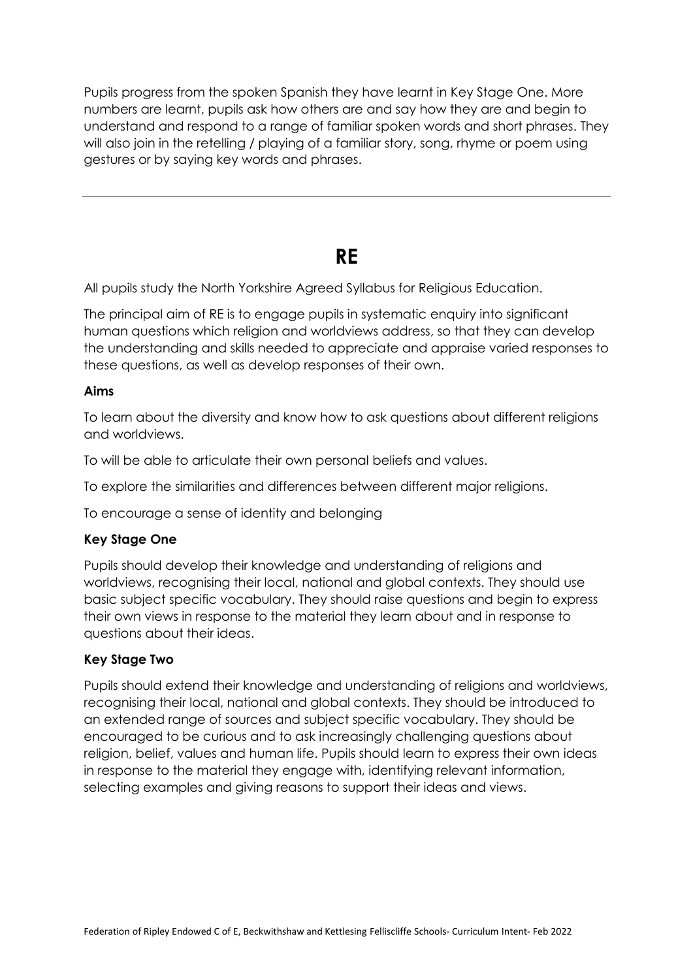Pupils progress from the spoken Spanish they have learnt in Key Stage One. More numbers are learnt, pupils ask how others are and say how they are and begin to understand and respond to a range of familiar spoken words and short phrases. They will also join in the retelling / playing of a familiar story, song, rhyme or poem using gestures or by saying key words and phrases.

## **RE**

All pupils study the North Yorkshire Agreed Syllabus for Religious Education.

The principal aim of RE is to engage pupils in systematic enquiry into significant human questions which religion and worldviews address, so that they can develop the understanding and skills needed to appreciate and appraise varied responses to these questions, as well as develop responses of their own.

### **Aims**

To learn about the diversity and know how to ask questions about different religions and worldviews.

To will be able to articulate their own personal beliefs and values.

To explore the similarities and differences between different major religions.

To encourage a sense of identity and belonging

### **Key Stage One**

Pupils should develop their knowledge and understanding of religions and worldviews, recognising their local, national and global contexts. They should use basic subject specific vocabulary. They should raise questions and begin to express their own views in response to the material they learn about and in response to questions about their ideas.

### **Key Stage Two**

Pupils should extend their knowledge and understanding of religions and worldviews, recognising their local, national and global contexts. They should be introduced to an extended range of sources and subject specific vocabulary. They should be encouraged to be curious and to ask increasingly challenging questions about religion, belief, values and human life. Pupils should learn to express their own ideas in response to the material they engage with, identifying relevant information, selecting examples and giving reasons to support their ideas and views.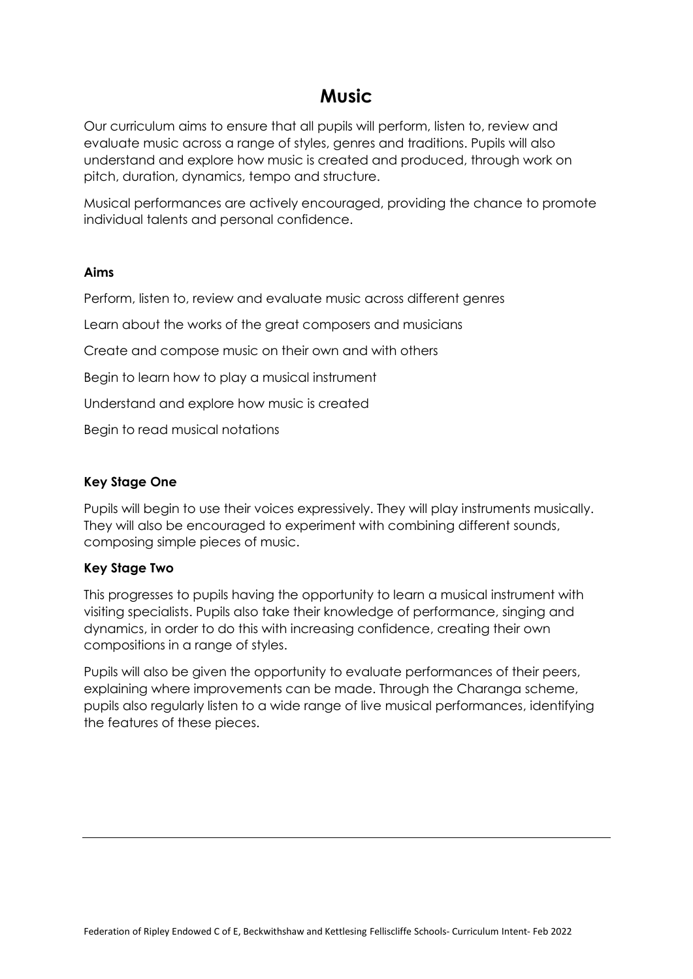## **Music**

Our curriculum aims to ensure that all pupils will perform, listen to, review and evaluate music across a range of styles, genres and traditions. Pupils will also understand and explore how music is created and produced, through work on pitch, duration, dynamics, tempo and structure.

Musical performances are actively encouraged, providing the chance to promote individual talents and personal confidence.

### **Aims**

Perform, listen to, review and evaluate music across different genres

Learn about the works of the great composers and musicians

Create and compose music on their own and with others

Begin to learn how to play a musical instrument

Understand and explore how music is created

Begin to read musical notations

### **Key Stage One**

Pupils will begin to use their voices expressively. They will play instruments musically. They will also be encouraged to experiment with combining different sounds, composing simple pieces of music.

### **Key Stage Two**

This progresses to pupils having the opportunity to learn a musical instrument with visiting specialists. Pupils also take their knowledge of performance, singing and dynamics, in order to do this with increasing confidence, creating their own compositions in a range of styles.

Pupils will also be given the opportunity to evaluate performances of their peers, explaining where improvements can be made. Through the Charanga scheme, pupils also regularly listen to a wide range of live musical performances, identifying the features of these pieces.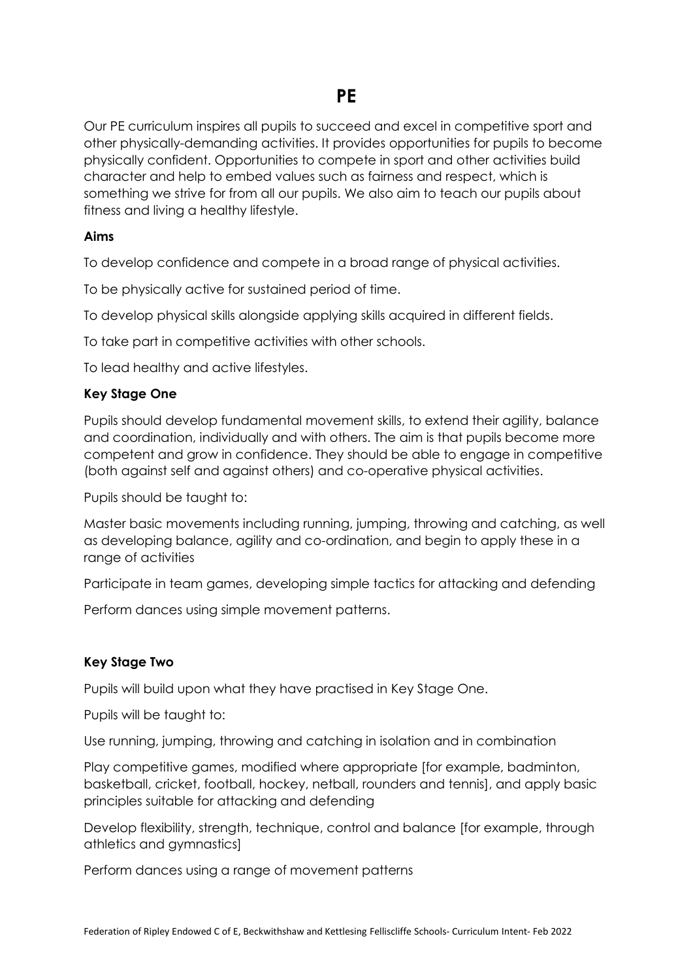Our PE curriculum inspires all pupils to succeed and excel in competitive sport and other physically-demanding activities. It provides opportunities for pupils to become physically confident. Opportunities to compete in sport and other activities build character and help to embed values such as fairness and respect, which is something we strive for from all our pupils. We also aim to teach our pupils about fitness and living a healthy lifestyle.

### **Aims**

To develop confidence and compete in a broad range of physical activities.

To be physically active for sustained period of time.

To develop physical skills alongside applying skills acquired in different fields.

To take part in competitive activities with other schools.

To lead healthy and active lifestyles.

### **Key Stage One**

Pupils should develop fundamental movement skills, to extend their agility, balance and coordination, individually and with others. The aim is that pupils become more competent and grow in confidence. They should be able to engage in competitive (both against self and against others) and co-operative physical activities.

Pupils should be taught to:

Master basic movements including running, jumping, throwing and catching, as well as developing balance, agility and co-ordination, and begin to apply these in a range of activities

Participate in team games, developing simple tactics for attacking and defending

Perform dances using simple movement patterns.

### **Key Stage Two**

Pupils will build upon what they have practised in Key Stage One.

Pupils will be taught to:

Use running, jumping, throwing and catching in isolation and in combination

Play competitive games, modified where appropriate [for example, badminton, basketball, cricket, football, hockey, netball, rounders and tennis], and apply basic principles suitable for attacking and defending

Develop flexibility, strength, technique, control and balance [for example, through athletics and gymnastics]

Perform dances using a range of movement patterns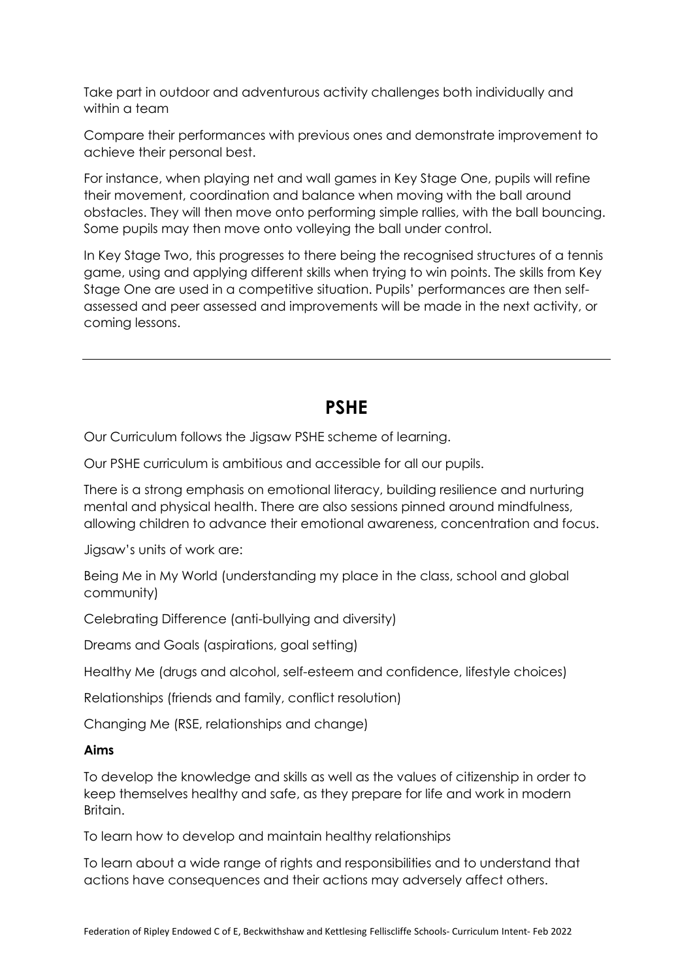Take part in outdoor and adventurous activity challenges both individually and within a team

Compare their performances with previous ones and demonstrate improvement to achieve their personal best.

For instance, when playing net and wall games in Key Stage One, pupils will refine their movement, coordination and balance when moving with the ball around obstacles. They will then move onto performing simple rallies, with the ball bouncing. Some pupils may then move onto volleying the ball under control.

In Key Stage Two, this progresses to there being the recognised structures of a tennis game, using and applying different skills when trying to win points. The skills from Key Stage One are used in a competitive situation. Pupils' performances are then selfassessed and peer assessed and improvements will be made in the next activity, or coming lessons.

### **PSHE**

Our Curriculum follows the Jigsaw PSHE scheme of learning.

Our PSHE curriculum is ambitious and accessible for all our pupils.

There is a strong emphasis on emotional literacy, building resilience and nurturing mental and physical health. There are also sessions pinned around mindfulness, allowing children to advance their emotional awareness, concentration and focus.

Jigsaw's units of work are:

Being Me in My World (understanding my place in the class, school and global community)

Celebrating Difference (anti-bullying and diversity)

Dreams and Goals (aspirations, goal setting)

Healthy Me (drugs and alcohol, self-esteem and confidence, lifestyle choices)

Relationships (friends and family, conflict resolution)

Changing Me (RSE, relationships and change)

#### **Aims**

To develop the knowledge and skills as well as the values of citizenship in order to keep themselves healthy and safe, as they prepare for life and work in modern Britain.

To learn how to develop and maintain healthy relationships

To learn about a wide range of rights and responsibilities and to understand that actions have consequences and their actions may adversely affect others.